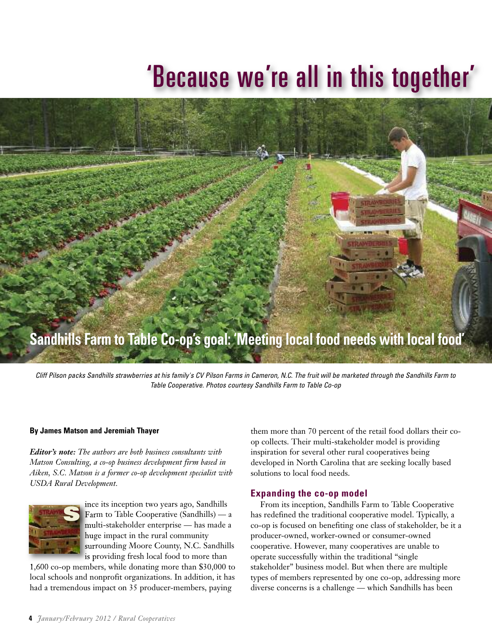# 'Because we're all in this together ' '



Cliff Pilson packs Sandhills strawberries at his family's CV Pilson Farms in Cameron, N.C. The fruit will be marketed through the Sandhills Farm to *Table Cooperative. Photos courtesy Sandhills Farm to Table Co-op*

#### **By James Matson and Jeremiah Thayer**

*Editor's note: The authors are both business consultants with Matson Consulting, a co-op business development firm based in Aiken, S.C. Matson is a former co-op development specialist with USDA Rural Development.*



ince its inception two years ago, Sandhills Farm to Table Cooperative (Sandhills) — a multi-stakeholder enterprise — has made a huge impact in the rural community surrounding Moore County, N.C. Sandhills is providing fresh local food to more than

1,600 co-op members, while donating more than \$30,000 to local schools and nonprofit organizations. In addition, it has had a tremendous impact on 35 producer-members, paying

them more than 70 percent of the retail food dollars their coop collects. Their multi-stakeholder model is providing inspiration for several other rural cooperatives being developed in North Carolina that are seeking locally based solutions to local food needs.

### **Expanding the co-op model**

From its inception, Sandhills Farm to Table Cooperative has redefined the traditional cooperative model. Typically, a co-op is focused on benefiting one class of stakeholder, be it a producer-owned, worker-owned or consumer-owned cooperative. However, many cooperatives are unable to operate successfully within the traditional "single stakeholder" business model. But when there are multiple types of members represented by one co-op, addressing more diverse concerns is a challenge — which Sandhills has been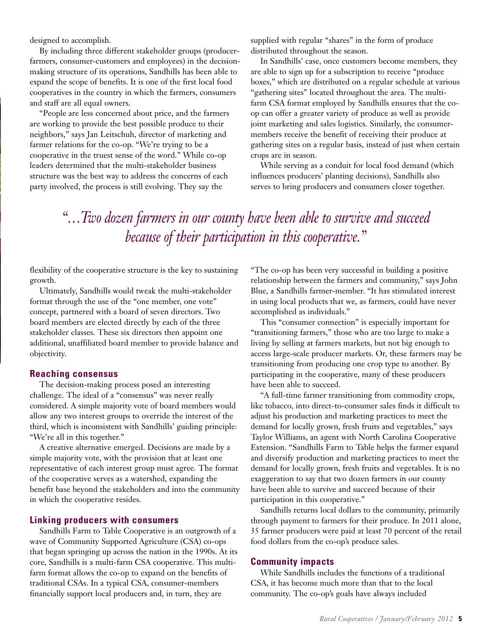designed to accomplish.

By including three different stakeholder groups (producerfarmers, consumer-customers and employees) in the decisionmaking structure of its operations, Sandhills has been able to expand the scope of benefits. It is one of the first local food cooperatives in the country in which the farmers, consumers and staff are all equal owners.

"People are less concerned about price, and the farmers are working to provide the best possible produce to their neighbors," says Jan Leitschuh, director of marketing and farmer relations for the co-op. "We're trying to be a cooperative in the truest sense of the word." While co-op leaders determined that the multi-stakeholder business structure was the best way to address the concerns of each party involved, the process is still evolving. They say the

supplied with regular "shares" in the form of produce distributed throughout the season.

In Sandhills' case, once customers become members, they are able to sign up for a subscription to receive "produce boxes," which are distributed on a regular schedule at various "gathering sites" located throughout the area. The multifarm CSA format employed by Sandhills ensures that the coop can offer a greater variety of produce as well as provide joint marketing and sales logistics. Similarly, the consumermembers receive the benefit of receiving their produce at gathering sites on a regular basis, instead of just when certain crops are in season.

While serving as a conduit for local food demand (which influences producers' planting decisions), Sandhills also serves to bring producers and consumers closer together.

*"…Two dozen farmers in our county have been able to survive and succeed because of their participation in this cooperative."*

flexibility of the cooperative structure is the key to sustaining growth.

Ultimately, Sandhills would tweak the multi-stakeholder format through the use of the "one member, one vote" concept, partnered with a board of seven directors. Two board members are elected directly by each of the three stakeholder classes. These six directors then appoint one additional, unaffiliated board member to provide balance and objectivity.

### **Reaching consensus**

The decision-making process posed an interesting challenge. The ideal of a "consensus" was never really considered. A simple majority vote of board members would allow any two interest groups to override the interest of the third, which is inconsistent with Sandhills' guiding principle: "We're all in this together."

A creative alternative emerged. Decisions are made by a simple majority vote, with the provision that at least one representative of each interest group must agree. The format of the cooperative serves as a watershed, expanding the benefit base beyond the stakeholders and into the community in which the cooperative resides.

### **Linking producers with consumers**

Sandhills Farm to Table Cooperative is an outgrowth of a wave of Community Supported Agriculture (CSA) co-ops that began springing up across the nation in the 1990s. At its core, Sandhills is a multi-farm CSA cooperative. This multifarm format allows the co-op to expand on the benefits of traditional CSAs. In a typical CSA, consumer-members financially support local producers and, in turn, they are

"The co-op has been very successful in building a positive relationship between the farmers and community," says John Blue, a Sandhills farmer-member. "It has stimulated interest in using local products that we, as farmers, could have never accomplished as individuals."

This "consumer connection" is especially important for "transitioning farmers," those who are too large to make a living by selling at farmers markets, but not big enough to access large-scale producer markets. Or, these farmers may be transitioning from producing one crop type to another. By participating in the cooperative, many of these producers have been able to succeed.

"A full-time farmer transitioning from commodity crops, like tobacco, into direct-to-consumer sales finds it difficult to adjust his production and marketing practices to meet the demand for locally grown, fresh fruits and vegetables," says Taylor Williams, an agent with North Carolina Cooperative Extension. "Sandhills Farm to Table helps the farmer expand and diversify production and marketing practices to meet the demand for locally grown, fresh fruits and vegetables. It is no exaggeration to say that two dozen farmers in our county have been able to survive and succeed because of their participation in this cooperative."

Sandhills returns local dollars to the community, primarily through payment to farmers for their produce. In 2011 alone, 35 farmer producers were paid at least 70 percent of the retail food dollars from the co-op's produce sales.

### **Community impacts**

While Sandhills includes the functions of a traditional CSA, it has become much more than that to the local community. The co-op's goals have always included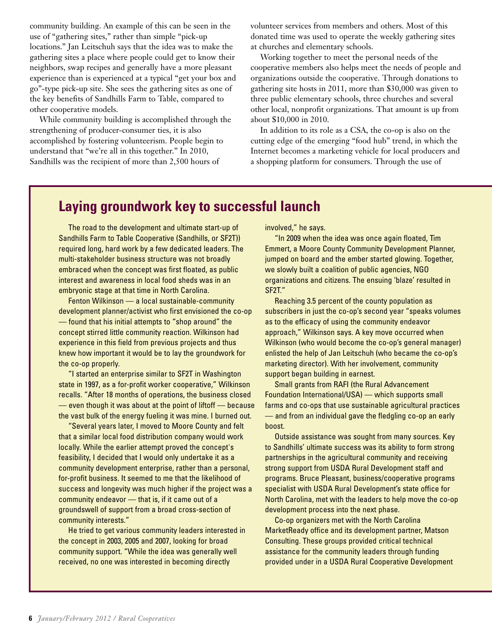community building. An example of this can be seen in the use of "gathering sites," rather than simple "pick-up locations." Jan Leitschuh says that the idea was to make the gathering sites a place where people could get to know their neighbors, swap recipes and generally have a more pleasant experience than is experienced at a typical "get your box and go"-type pick-up site. She sees the gathering sites as one of the key benefits of Sandhills Farm to Table, compared to other cooperative models.

While community building is accomplished through the strengthening of producer-consumer ties, it is also accomplished by fostering volunteerism. People begin to understand that "we're all in this together." In 2010, Sandhills was the recipient of more than 2,500 hours of

volunteer services from members and others. Most of this donated time was used to operate the weekly gathering sites at churches and elementary schools.

Working together to meet the personal needs of the cooperative members also helps meet the needs of people and organizations outside the cooperative. Through donations to gathering site hosts in 2011, more than \$30,000 was given to three public elementary schools, three churches and several other local, nonprofit organizations. That amount is up from about \$10,000 in 2010.

In addition to its role as a CSA, the co-op is also on the cutting edge of the emerging "food hub" trend, in which the Internet becomes a marketing vehicle for local producers and a shopping platform for consumers. Through the use of

# **Laying groundwork key to successful launch**

The road to the development and ultimate start-up of Sandhills Farm to Table Cooperative (Sandhills, or SF2T)) required long, hard work by a few dedicated leaders. The multi-stakeholder business structure was not broadly embraced when the concept was first floated, as public interest and awareness in local food sheds was in an embryonic stage at that time in North Carolina.

Fenton Wilkinson — a local sustainable-community development planner/activist who first envisioned the co-op — found that his initial attempts to "shop around" the concept stirred little community reaction. Wilkinson had experience in this field from previous projects and thus knew how important it would be to lay the groundwork for the co-op properly.

"I started an enterprise similar to SF2T in Washington state in 1997, as a for-profit worker cooperative," Wilkinson recalls. "After 18 months of operations, the business closed — even though it was about at the point of liftoff — because the vast bulk of the energy fueling it was mine. I burned out.

"Several years later, I moved to Moore County and felt that a similar local food distribution company would work locally. While the earlier attempt proved the concept's feasibility, I decided that I would only undertake it as a community development enterprise, rather than a personal, for-profit business. It seemed to me that the likelihood of success and longevity was much higher if the project was a community endeavor — that is, if it came out of a groundswell of support from a broad cross-section of community interests."

He tried to get various community leaders interested in the concept in 2003, 2005 and 2007, looking for broad community support. "While the idea was generally well received, no one was interested in becoming directly

involved," he says.

"In 2009 when the idea was once again floated, Tim Emmert, a Moore County Community Development Planner, jumped on board and the ember started glowing. Together, we slowly built a coalition of public agencies, NGO organizations and citizens. The ensuing 'blaze' resulted in SF2T."

Reaching 3.5 percent of the county population as subscribers in just the co-op's second year "speaks volumes as to the efficacy of using the community endeavor approach," Wilkinson says. A key move occurred when Wilkinson (who would become the co-op's general manager) enlisted the help of Jan Leitschuh (who became the co-op's marketing director). With her involvement, community support began building in earnest.

Small grants from RAFI (the Rural Advancement Foundation International/USA) — which supports small farms and co-ops that use sustainable agricultural practices — and from an individual gave the fledgling co-op an early boost.

Outside assistance was sought from many sources. Key to Sandhills' ultimate success was its ability to form strong partnerships in the agricultural community and receiving strong support from USDA Rural Development staff and programs. Bruce Pleasant, business/cooperative programs specialist with USDA Rural Development's state office for North Carolina, met with the leaders to help move the co-op development process into the next phase.

Co-op organizers met with the North Carolina MarketReady office and its development partner, Matson Consulting. These groups provided critical technical assistance for the community leaders through funding provided under in a USDA Rural Cooperative Development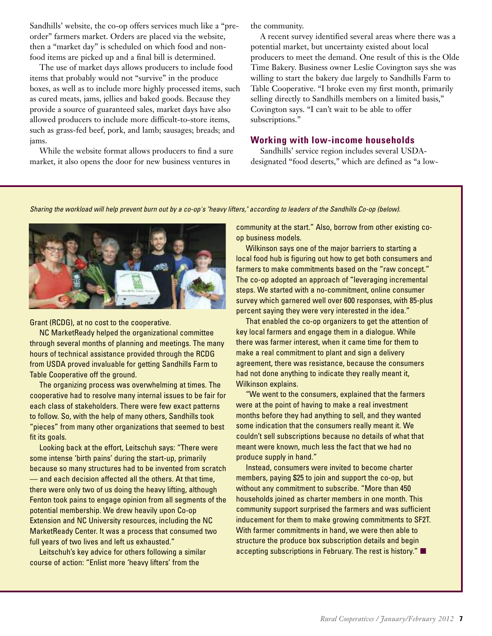Sandhills' website, the co-op offers services much like a "preorder" farmers market. Orders are placed via the website, then a "market day" is scheduled on which food and nonfood items are picked up and a final bill is determined.

The use of market days allows producers to include food items that probably would not "survive" in the produce boxes, as well as to include more highly processed items, such as cured meats, jams, jellies and baked goods. Because they provide a source of guaranteed sales, market days have also allowed producers to include more difficult-to-store items, such as grass-fed beef, pork, and lamb; sausages; breads; and jams.

While the website format allows producers to find a sure market, it also opens the door for new business ventures in

the community.

A recent survey identified several areas where there was a potential market, but uncertainty existed about local producers to meet the demand. One result of this is the Olde Time Bakery. Business owner Leslie Covington says she was willing to start the bakery due largely to Sandhills Farm to Table Cooperative. "I broke even my first month, primarily selling directly to Sandhills members on a limited basis," Covington says. "I can't wait to be able to offer subscriptions."

## **Working with low-income households**

Sandhills' service region includes several USDAdesignated "food deserts," which are defined as "a low-

### Sharing the workload will help prevent burn out by a co-op's "heavy lifters," according to leaders of the Sandhills Co-op (below).



Grant (RCDG), at no cost to the cooperative.

NC MarketReady helped the organizational committee through several months of planning and meetings. The many hours of technical assistance provided through the RCDG from USDA proved invaluable for getting Sandhills Farm to Table Cooperative off the ground.

The organizing process was overwhelming at times. The cooperative had to resolve many internal issues to be fair for each class of stakeholders. There were few exact patterns to follow. So, with the help of many others, Sandhills took "pieces" from many other organizations that seemed to best fit its goals.

Looking back at the effort, Leitschuh says: "There were some intense 'birth pains' during the start-up, primarily because so many structures had to be invented from scratch — and each decision affected all the others. At that time, there were only two of us doing the heavy lifting, although Fenton took pains to engage opinion from all segments of the potential membership. We drew heavily upon Co-op Extension and NC University resources, including the NC MarketReady Center. It was a process that consumed two full years of two lives and left us exhausted."

Leitschuh's key advice for others following a similar course of action: "Enlist more 'heavy lifters' from the

community at the start." Also, borrow from other existing coop business models.

Wilkinson says one of the major barriers to starting a local food hub is figuring out how to get both consumers and farmers to make commitments based on the "raw concept." The co-op adopted an approach of "leveraging incremental steps. We started with a no-commitment, online consumer survey which garnered well over 600 responses, with 85-plus percent saying they were very interested in the idea."

That enabled the co-op organizers to get the attention of key local farmers and engage them in a dialogue. While there was farmer interest, when it came time for them to make a real commitment to plant and sign a delivery agreement, there was resistance, because the consumers had not done anything to indicate they really meant it, Wilkinson explains.

"We went to the consumers, explained that the farmers were at the point of having to make a real investment months before they had anything to sell, and they wanted some indication that the consumers really meant it. We couldn't sell subscriptions because no details of what that meant were known, much less the fact that we had no produce supply in hand."

Instead, consumers were invited to become charter members, paying \$25 to join and support the co-op, but without any commitment to subscribe. "More than 450 households joined as charter members in one month. This community support surprised the farmers and was sufficient inducement for them to make growing commitments to SF2T. With farmer commitments in hand, we were then able to structure the produce box subscription details and begin accepting subscriptions in February. The rest is history." $\blacksquare$